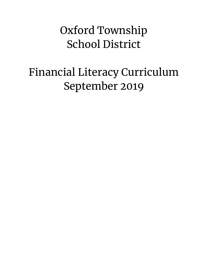## Oxford Township School District

# Financial Literacy Curriculum September 2019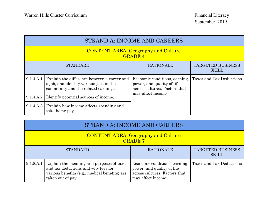| STRAND A: INCOME AND CAREERS                                 |                                                                                                                               |                                                                                             |                                          |
|--------------------------------------------------------------|-------------------------------------------------------------------------------------------------------------------------------|---------------------------------------------------------------------------------------------|------------------------------------------|
| <b>CONTENT AREA: Geography and Culture</b><br><b>GRADE 4</b> |                                                                                                                               |                                                                                             |                                          |
|                                                              | <b>STANDARD</b>                                                                                                               | <b>RATIONALE</b>                                                                            | <b>TARGETED BUSINESS</b><br><b>SKILL</b> |
| 9.1.4.A.1                                                    | Explain the difference between a career and<br>a job, and identify various jobs in the<br>community and the related earnings. | Economic conditions, earning<br>power, and quality of life<br>across cultures; Factors that | Taxes and Tax Deductions                 |
| 9.1.4.A.2                                                    | Identify potential sources of income.                                                                                         | may affect income.                                                                          |                                          |
| 9.1.4.A.3                                                    | Explain how income affects spending and<br>take-home pay.                                                                     |                                                                                             |                                          |

| STRAND A: INCOME AND CAREERS                                 |                                                                                                                                                                  |                                                                                                                   |                          |
|--------------------------------------------------------------|------------------------------------------------------------------------------------------------------------------------------------------------------------------|-------------------------------------------------------------------------------------------------------------------|--------------------------|
| <b>CONTENT AREA: Geography and Culture</b><br><b>GRADE 7</b> |                                                                                                                                                                  |                                                                                                                   |                          |
| <b>RATIONALE</b><br><b>STANDARD</b><br><b>SKILL</b>          |                                                                                                                                                                  |                                                                                                                   | TARGETED BUSINESS        |
|                                                              | 9.1.8.A.1 Explain the meaning and purposes of taxes<br>and tax deductions and why fees for<br>various benefits (e.g., medical benefits) are<br>taken out of pay. | Economic conditions, earning<br>power, and quality of life<br>across cultures; Factors that<br>may affect income. | Taxes and Tax Deductions |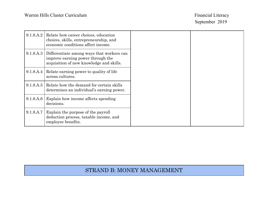| 9.1.8.A.2 | Relate how career choices, education<br>choices, skills, entrepreneurship, and<br>economic conditions affect income.       |
|-----------|----------------------------------------------------------------------------------------------------------------------------|
| 9.1.8.A.3 | Differentiate among ways that workers can<br>improve earning power through the<br>acquisition of new knowledge and skills. |
| 9.1.8.A.4 | Relate earning power to quality of life<br>across cultures.                                                                |
| 9.1.8.A.5 | Relate how the demand for certain skills<br>determines an individual's earning power.                                      |
| 9.1.8.A.6 | Explain how income affects spending<br>decisions.                                                                          |
| 9.1.8.A.7 | Explain the purpose of the payroll<br>deduction process, taxable income, and<br>employee benefits.                         |

#### STRAND B: MONEY MANAGEMENT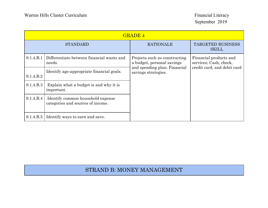| <b>GRADE 4</b>  |                                                                        |                                                                                                                    |                                                                                 |  |
|-----------------|------------------------------------------------------------------------|--------------------------------------------------------------------------------------------------------------------|---------------------------------------------------------------------------------|--|
| <b>STANDARD</b> |                                                                        | <b>RATIONALE</b>                                                                                                   | <b>TARGETED BUSINESS</b><br><b>SKILL</b>                                        |  |
| 9.1.4.B.1       | Differentiate between financial wants and<br>needs.                    | Projects such as constructing<br>a budget, personal savings<br>and spending plan; Financial<br>savings strategies. | Financial products and<br>services; Cash, check,<br>credit card, and debit card |  |
| 9.1.4.B.2       | Identify age-appropriate financial goals.                              |                                                                                                                    |                                                                                 |  |
| 9.1.4.B.3       | Explain what a budget is and why it is<br>important.                   |                                                                                                                    |                                                                                 |  |
| 9.1.4.B.4       | Identify common household expense<br>categories and sources of income. |                                                                                                                    |                                                                                 |  |
| 9.1.4.B.5       | Identify ways to earn and save.                                        |                                                                                                                    |                                                                                 |  |

#### STRAND B: MONEY MANAGEMENT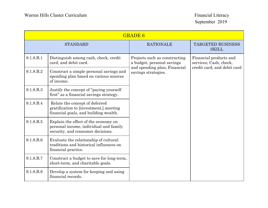| <b>GRADE 6</b>  |                                                                                                                     |                                                                                                                    |                                          |                                                  |
|-----------------|---------------------------------------------------------------------------------------------------------------------|--------------------------------------------------------------------------------------------------------------------|------------------------------------------|--------------------------------------------------|
| <b>STANDARD</b> |                                                                                                                     | <b>RATIONALE</b>                                                                                                   | <b>TARGETED BUSINESS</b><br><b>SKILL</b> |                                                  |
| 9.1.8.B.1       | Distinguish among cash, check, credit<br>card, and debit card.                                                      | Projects such as constructing<br>a budget, personal savings<br>and spending plan; Financial<br>savings strategies. | credit card, and debit card              | Financial products and<br>services; Cash, check, |
| 9.1.8.B.2       | Construct a simple personal savings and<br>spending plan based on various sources<br>of income.                     |                                                                                                                    |                                          |                                                  |
| 9.1.8.B.3       | Justify the concept of "paying yourself"<br>first" as a financial savings strategy.                                 |                                                                                                                    |                                          |                                                  |
| 9.1.8.B.4       | Relate the concept of deferred<br>gratification to [investment,] meeting<br>financial goals, and building wealth.   |                                                                                                                    |                                          |                                                  |
| 9.1.8.B.5       | Explain the effect of the economy on<br>personal income, individual and family<br>security, and consumer decisions. |                                                                                                                    |                                          |                                                  |
| 9.1.8.B.6       | Evaluate the relationship of cultural<br>traditions and historical influences on<br>financial practice.             |                                                                                                                    |                                          |                                                  |
| 9.1.8.B.7       | Construct a budget to save for long-term,<br>short-term, and charitable goals.                                      |                                                                                                                    |                                          |                                                  |
| 9.1.8.B.8       | Develop a system for keeping and using<br>financial records.                                                        |                                                                                                                    |                                          |                                                  |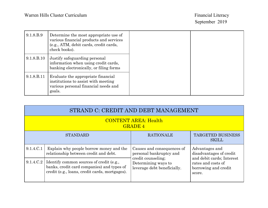| 9.1.8.B.9  | Determine the most appropriate use of<br>various financial products and services<br>(e.g., ATM, debit cards, credit cards,<br>check books). |
|------------|---------------------------------------------------------------------------------------------------------------------------------------------|
| 9.1.8.B.10 | Justify safeguarding personal<br>information when using credit cards,<br>banking electronically, or filing forms                            |
| 9.1.8.B.11 | Evaluate the appropriate financial<br>institutions to assist with meeting<br>various personal financial needs and<br>goals.                 |

| STRAND C: CREDIT AND DEBT MANAGEMENT          |                                                                                                                                          |                                                                                                                                   |                                                                                                                                |
|-----------------------------------------------|------------------------------------------------------------------------------------------------------------------------------------------|-----------------------------------------------------------------------------------------------------------------------------------|--------------------------------------------------------------------------------------------------------------------------------|
| <b>CONTENT AREA: Health</b><br><b>GRADE 4</b> |                                                                                                                                          |                                                                                                                                   |                                                                                                                                |
| <b>STANDARD</b>                               |                                                                                                                                          | <b>RATIONALE</b>                                                                                                                  | <b>TARGETED BUSINESS</b><br><b>SKILL</b>                                                                                       |
| 9.1.4.C.1                                     | Explain why people borrow money and the<br>relationship between credit and debt.                                                         | Causes and consequences of<br>personal bankruptcy and<br>credit counseling;<br>Determining ways to<br>leverage debt beneficially. | Advantages and<br>disadvantages of credit<br>and debit cards; Interest<br>rates and costs of<br>borrowing and credit<br>score. |
| 9.1.4.C.2                                     | Identify common sources of credit (e.g.,<br>banks, credit card companies) and types of<br>credit (e.g., loans, credit cards, mortgages). |                                                                                                                                   |                                                                                                                                |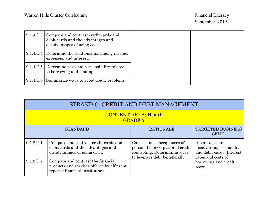| 9.1.4.C.3 Compare and contrast credit cards and<br>debit cards and the advantages and<br>disadvantages of using each. |
|-----------------------------------------------------------------------------------------------------------------------|
| 9.1.4.C.4 Determine the relationships among income,<br>expenses, and interest.                                        |
| 9.1.4.C.5 Determine personal responsibility related<br>to borrowing and lending.                                      |
| 9.1.4.C.6 Summarize ways to avoid credit problems.                                                                    |

| STRAND C: CREDIT AND DEBT MANAGEMENT          |                                                                                                                      |                                                                                              |                                                                        |
|-----------------------------------------------|----------------------------------------------------------------------------------------------------------------------|----------------------------------------------------------------------------------------------|------------------------------------------------------------------------|
| <b>CONTENT AREA: Health</b><br><b>GRADE 7</b> |                                                                                                                      |                                                                                              |                                                                        |
| <b>STANDARD</b>                               |                                                                                                                      | <b>RATIONALE</b>                                                                             | TARGETED BUSINESS<br><b>SKILL</b>                                      |
| 9.1.8.C.1                                     | Compare and contrast credit cards and<br>debit cards and the advantages and<br>disadvantages of using each.          | Causes and consequences of<br>personal bankruptcy and credit<br>counseling; Determining ways | Advantages and<br>disadvantages of credit<br>and debit cards; Interest |
| 9.1.8.C.2                                     | Compare and contrast the financial<br>products and services offered by different<br>types of financial institutions. | to leverage debt beneficially.                                                               | rates and costs of<br>borrowing and credit<br>score.                   |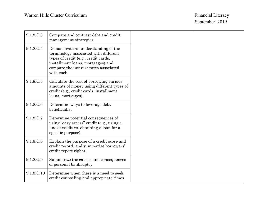| 9.1.8.C.3  | Compare and contrast debt and credit<br>management strategies.                                                                                                                                                  |
|------------|-----------------------------------------------------------------------------------------------------------------------------------------------------------------------------------------------------------------|
| 9.1.8.C.4  | Demonstrate an understanding of the<br>terminology associated with different<br>types of credit (e.g., credit cards,<br>installment loans, mortgages) and<br>compare the interest rates associated<br>with each |
| 9.1.8.C.5  | Calculate the cost of borrowing various<br>amounts of money using different types of<br>credit (e.g., credit cards, installment<br>loans, mortgages).                                                           |
| 9.1.8.C.6  | Determine ways to leverage debt<br>beneficially.                                                                                                                                                                |
| 9.1.8.C.7  | Determine potential consequences of<br>using "easy access" credit (e.g., using a<br>line of credit vs. obtaining a loan for a<br>specific purpose).                                                             |
| 9.1.8.C.8  | Explain the purpose of a credit score and<br>credit record, and summarize borrowers'<br>credit report rights.                                                                                                   |
| 9.1.8.C.9  | Summarize the causes and consequences<br>of personal bankruptcy                                                                                                                                                 |
| 9.1.8.C.10 | Determine when there is a need to seek<br>credit counseling and appropriate times                                                                                                                               |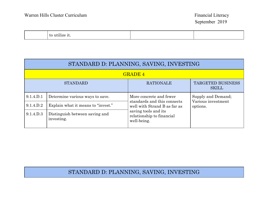| $\mathbf{v}$<br>- UU<br>. |  |  |
|---------------------------|--|--|
|---------------------------|--|--|

| STANDARD D: PLANNING, SAVING, INVESTING                                         |                                              |                                                                  |                                |  |
|---------------------------------------------------------------------------------|----------------------------------------------|------------------------------------------------------------------|--------------------------------|--|
| <b>GRADE 4</b>                                                                  |                                              |                                                                  |                                |  |
| <b>TARGETED BUSINESS</b><br><b>RATIONALE</b><br><b>STANDARD</b><br><b>SKILL</b> |                                              |                                                                  |                                |  |
| 9.1.4.D.1                                                                       | Determine various ways to save.              | More concrete and fewer                                          | Supply and Demand;             |  |
| 9.1.4.D.2                                                                       | Explain what it means to "invest."           | standards and this connects<br>well with Strand B as far as      | Various investment<br>options. |  |
| 9.1.4.D.3                                                                       | Distinguish between saving and<br>investing. | saving tools and its<br>relationship to financial<br>well-being. |                                |  |

### STANDARD D: PLANNING, SAVING, INVESTING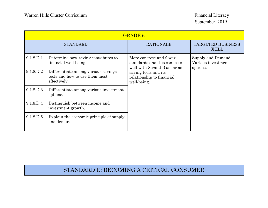|           | <b>GRADE 6</b>                                                                        |                                                                                                                                                                        |                                          |
|-----------|---------------------------------------------------------------------------------------|------------------------------------------------------------------------------------------------------------------------------------------------------------------------|------------------------------------------|
|           | <b>STANDARD</b>                                                                       | <b>RATIONALE</b>                                                                                                                                                       | <b>TARGETED BUSINESS</b><br><b>SKILL</b> |
| 9.1.8.D.1 | Determine how saving contributes to<br>financial well-being.                          | More concrete and fewer<br>standards and this connects<br>well with Strand B as far as<br>options.<br>saving tools and its<br>relationship to financial<br>well-being. | Supply and Demand;<br>Various investment |
| 9.1.8.D.2 | Differentiate among various savings<br>tools and how to use them most<br>effectively. |                                                                                                                                                                        |                                          |
| 9.1.8.D.3 | Differentiate among various investment<br>options.                                    |                                                                                                                                                                        |                                          |
| 9.1.8.D.4 | Distinguish between income and<br>investment growth.                                  |                                                                                                                                                                        |                                          |
| 9.1.8.D.5 | Explain the economic principle of supply<br>and demand                                |                                                                                                                                                                        |                                          |

#### STANDARD E: BECOMING A CRITICAL CONSUMER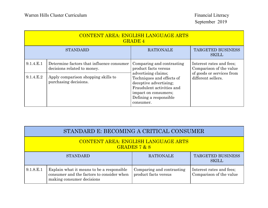| <b>CONTENT AREA: ENGLISH LANGUAGE ARTS</b><br><b>GRADE 4</b> |                                                                                                                                          |                                                                                                                                                                                                                             |                                                                                                        |
|--------------------------------------------------------------|------------------------------------------------------------------------------------------------------------------------------------------|-----------------------------------------------------------------------------------------------------------------------------------------------------------------------------------------------------------------------------|--------------------------------------------------------------------------------------------------------|
|                                                              | <b>STANDARD</b>                                                                                                                          | <b>RATIONALE</b>                                                                                                                                                                                                            | <b>TARGETED BUSINESS</b><br><b>SKILL</b>                                                               |
| 9.1.4.E.1<br>9.1.4.E.2                                       | Determine factors that influence consumer<br>decisions related to money.<br>Apply comparison shopping skills to<br>purchasing decisions. | Comparing and contrasting<br>product facts versus<br>advertising claims;<br>Techniques and effects of<br>deceptive advertising;<br>Fraudulent activities and<br>impact on consumers;<br>Defining a responsible<br>consumer. | Interest rates and fees;<br>Comparison of the value<br>of goods or services from<br>different sellers. |

|                                                              | STANDARD E: BECOMING A CRITICAL CONSUMER                                                                            |                                                   |                                                     |
|--------------------------------------------------------------|---------------------------------------------------------------------------------------------------------------------|---------------------------------------------------|-----------------------------------------------------|
| <b>CONTENT AREA: ENGLISH LANGUAGE ARTS</b><br>GRADES $7 & 8$ |                                                                                                                     |                                                   |                                                     |
|                                                              | <b>STANDARD</b>                                                                                                     | <b>RATIONALE</b>                                  | <b>TARGETED BUSINESS</b><br><b>SKILL</b>            |
| 9.1.8.E.1                                                    | Explain what it means to be a responsible<br>consumer and the factors to consider when<br>making consumer decisions | Comparing and contrasting<br>product facts versus | Interest rates and fees;<br>Comparison of the value |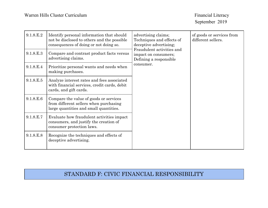| 9.1.8.E.2 | Identify personal information that should<br>not be disclosed to others and the possible<br>consequences of doing or not doing so. | advertising claims;<br>Techniques and effects of<br>different sellers.<br>deceptive advertising;<br>Fraudulent activities and<br>impact on consumers;<br>Defining a responsible<br>consumer. | of goods or services from |
|-----------|------------------------------------------------------------------------------------------------------------------------------------|----------------------------------------------------------------------------------------------------------------------------------------------------------------------------------------------|---------------------------|
| 9.1.8.E.3 | Compare and contrast product facts versus<br>advertising claims.                                                                   |                                                                                                                                                                                              |                           |
| 9.1.8.E.4 | Prioritize personal wants and needs when<br>making purchases.                                                                      |                                                                                                                                                                                              |                           |
| 9.1.8.E.5 | Analyze interest rates and fees associated<br>with financial services, credit cards, debit<br>cards, and gift cards.               |                                                                                                                                                                                              |                           |
| 9.1.8.E.6 | Compare the value of goods or services<br>from different sellers when purchasing<br>large quantities and small quantities.         |                                                                                                                                                                                              |                           |
| 9.1.8.E.7 | Evaluate how fraudulent activities impact<br>consumers, and justify the creation of<br>consumer protection laws.                   |                                                                                                                                                                                              |                           |
| 9.1.8.E.8 | Recognize the techniques and effects of<br>deceptive advertising.                                                                  |                                                                                                                                                                                              |                           |

#### STANDARD F: CIVIC FINANCIAL RESPONSIBILITY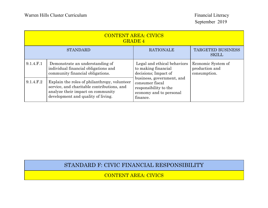| <b>CONTENT AREA: CIVICS</b><br><b>GRADE 4</b>       |                                                                                                                                                                       |                                                                                                              |                                                      |
|-----------------------------------------------------|-----------------------------------------------------------------------------------------------------------------------------------------------------------------------|--------------------------------------------------------------------------------------------------------------|------------------------------------------------------|
| <b>RATIONALE</b><br><b>STANDARD</b><br><b>SKILL</b> |                                                                                                                                                                       | <b>TARGETED BUSINESS</b>                                                                                     |                                                      |
| 9.1.4.F.1                                           | Demonstrate an understanding of<br>individual financial obligations and<br>community financial obligations.                                                           | Legal and ethical behaviors<br>to making financial<br>decisions; Impact of                                   | Economic System of<br>production and<br>consumption. |
| 9.1.4.F.2                                           | Explain the roles of philanthropy, volunteer<br>service, and charitable contributions, and<br>analyze their impact on community<br>development and quality of living. | business, government, and<br>consumer fiscal<br>responsibility to the<br>economy and to personal<br>finance. |                                                      |

#### STANDARD F: CIVIC FINANCIAL RESPONSIBILITY

CONTENT AREA: CIVICS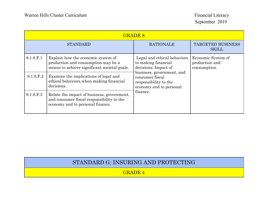|           | <b>GRADE 8</b>                                                                                                              |                                                                                                  |                                                      |
|-----------|-----------------------------------------------------------------------------------------------------------------------------|--------------------------------------------------------------------------------------------------|------------------------------------------------------|
|           | <b>STANDARD</b>                                                                                                             | <b>RATIONALE</b>                                                                                 | <b>TARGETED BUSINESS</b><br><b>SKILL</b>             |
| 9.1.8.F.1 | Explain how the economic system of<br>production and consumption may be a<br>means to achieve significant societal goals.   | Legal and ethical behaviors<br>to making financial<br>decisions; Impact of                       | Economic System of<br>production and<br>consumption. |
| 9.1.8.F.2 | Examine the implications of legal and<br>ethical behaviors when making financial<br>decisions.                              | business, government, and<br>consumer fiscal<br>responsibility to the<br>economy and to personal |                                                      |
| 9.1.8.F.3 | Relate the impact of business, government,<br>and consumer fiscal responsibility to the<br>economy and to personal finance. | finance.                                                                                         |                                                      |

#### STANDARD G: INSURING AND PROTECTING

GRADE 4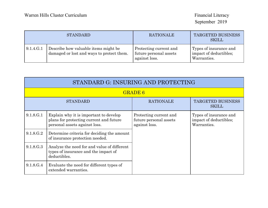| <b>STANDARD</b> |                                                                                   | <b>RATIONALE</b>                                                  | <b>TARGETED BUSINESS</b><br><b>SKILL</b>                        |
|-----------------|-----------------------------------------------------------------------------------|-------------------------------------------------------------------|-----------------------------------------------------------------|
| 9.1.4.G.1       | Describe how valuable items might be<br>damaged or lost and ways to protect them. | Protecting current and<br>future personal assets<br>against loss. | Types of insurance and<br>impact of deductibles;<br>Warranties. |

| STANDARD G: INSURING AND PROTECTING |                                                                                                                    |                                                                   |                                                                 |
|-------------------------------------|--------------------------------------------------------------------------------------------------------------------|-------------------------------------------------------------------|-----------------------------------------------------------------|
|                                     | <b>GRADE 6</b>                                                                                                     |                                                                   |                                                                 |
| <b>STANDARD</b>                     |                                                                                                                    | <b>RATIONALE</b>                                                  | <b>TARGETED BUSINESS</b><br><b>SKILL</b>                        |
| 9.1.8.G.1                           | Explain why it is important to develop<br>plans for protecting current and future<br>personal assets against loss. | Protecting current and<br>future personal assets<br>against loss. | Types of insurance and<br>impact of deductibles;<br>Warranties. |
| 9.1.8.G.2                           | Determine criteria for deciding the amount<br>of insurance protection needed.                                      |                                                                   |                                                                 |
| 9.1.8.G.3                           | Analyze the need for and value of different<br>types of insurance and the impact of<br>deductibles.                |                                                                   |                                                                 |
| 9.1.8.G.4                           | Evaluate the need for different types of<br>extended warranties.                                                   |                                                                   |                                                                 |